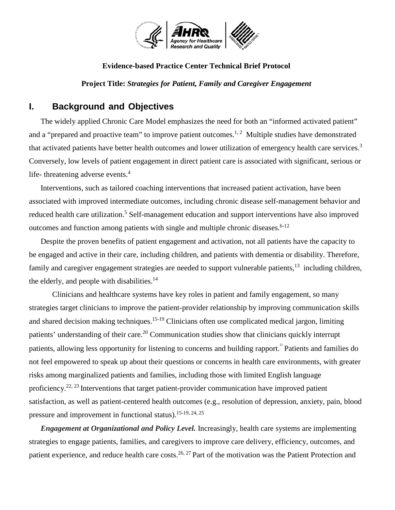

#### **Evidence-based Practice Center Technical Brief Protocol**

**Project Title:** *Strategies for Patient, Family and Caregiver Engagement*

### **I. Background and Objectives**

 The widely applied Chronic Care Model emphasizes the need for both an "informed activated patient" and a "prepared and proactive team" to improve patient outcomes.<sup>1, 2</sup> Multiple studies have demonstrated that activated patients have better health outcomes and lower utilization of emergency health care services.<sup>3</sup> Conversely, low levels of patient engagement in direct patient care is associated with significant, serious or life- threatening adverse events.<sup>4</sup>

 Interventions, such as tailored coaching interventions that increased patient activation, have been associated with improved intermediate outcomes, including chronic disease self-management behavior and reduced health care utilization.<sup>5</sup> Self-management education and support interventions have also improved outcomes and function among patients with single and multiple chronic diseases.<sup> $6-12$ </sup>

Despite the proven benefits of patient engagement and activation, not all patients have the capacity to be engaged and active in their care, including children, and patients with dementia or disability. Therefore, family and caregiver engagement strategies are needed to support vulnerable patients,<sup>13</sup> including children, the elderly, and people with disabilities.<sup>14</sup>

Clinicians and healthcare systems have key roles in patient and family engagement, so many strategies target clinicians to improve the patient-provider relationship by improving communication skills and shared decision making techniques.<sup>15-19</sup> Clinicians often use complicated medical jargon, limiting patients' understanding of their care.<sup>20</sup> Communication studies show that clinicians quickly interrupt patients, allowing less opportunity for listening to concerns and building rapport.<sup>21</sup> Patients and families do not feel empowered to speak up about their questions or concerns in health care environments, with greater risks among marginalized patients and families, including those with limited English language proficiency.<sup>22, 23</sup> Interventions that target patient-provider communication have improved patient satisfaction, as well as patient-centered health outcomes (e.g., resolution of depression, anxiety, pain, blood pressure and improvement in functional status).  $15-19, 24, 25$ 

*Engagement at Organizational and Policy Level.* Increasingly, health care systems are implementing strategies to engage patients, families, and caregivers to improve care delivery, efficiency, outcomes, and patient experience, and reduce health care costs.<sup>26, 27</sup> Part of the motivation was the Patient Protection and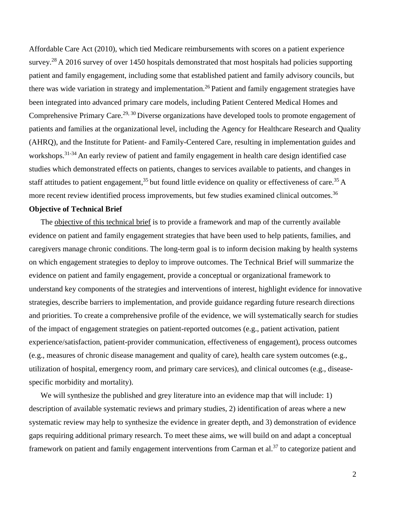Affordable Care Act (2010), which tied Medicare reimbursements with scores on a patient experience survey.<sup>28</sup> A 2016 survey of over 1450 hospitals demonstrated that most hospitals had policies supporting patient and family engagement, including some that established patient and family advisory councils, but there was wide variation in strategy and implementation.<sup>26</sup> Patient and family engagement strategies have been integrated into advanced primary care models, including Patient Centered Medical Homes and Comprehensive Primary Care.<sup>29, 30</sup> Diverse organizations have developed tools to promote engagement of patients and families at the organizational level, including the Agency for Healthcare Research and Quality (AHRQ), and the Institute for Patient- and Family-Centered Care, resulting in implementation guides and workshops.31-34 An early review of patient and family engagement in health care design identified case studies which demonstrated effects on patients, changes to services available to patients, and changes in staff attitudes to patient engagement,<sup>35</sup> but found little evidence on quality or effectiveness of care.<sup>35</sup> A more recent review identified process improvements, but few studies examined clinical outcomes.<sup>36</sup>

#### **Objective of Technical Brief**

The objective of this technical brief is to provide a framework and map of the currently available evidence on patient and family engagement strategies that have been used to help patients, families, and caregivers manage chronic conditions. The long-term goal is to inform decision making by health systems on which engagement strategies to deploy to improve outcomes. The Technical Brief will summarize the evidence on patient and family engagement, provide a conceptual or organizational framework to understand key components of the strategies and interventions of interest, highlight evidence for innovative strategies, describe barriers to implementation, and provide guidance regarding future research directions and priorities. To create a comprehensive profile of the evidence, we will systematically search for studies of the impact of engagement strategies on patient-reported outcomes (e.g., patient activation, patient experience/satisfaction, patient-provider communication, effectiveness of engagement), process outcomes (e.g., measures of chronic disease management and quality of care), health care system outcomes (e.g., utilization of hospital, emergency room, and primary care services), and clinical outcomes (e.g., diseasespecific morbidity and mortality).

We will synthesize the published and grey literature into an evidence map that will include: 1) description of available systematic reviews and primary studies, 2) identification of areas where a new systematic review may help to synthesize the evidence in greater depth, and 3) demonstration of evidence gaps requiring additional primary research. To meet these aims, we will build on and adapt a conceptual framework on patient and family engagement interventions from Carman et al.<sup>37</sup> to categorize patient and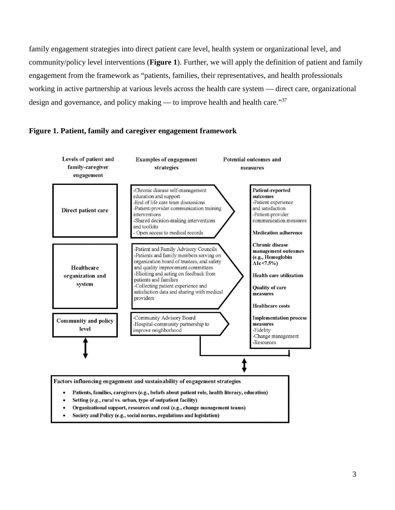family engagement strategies into direct patient care level, health system or organizational level, and community/policy level interventions (**Figure 1**). Further, we will apply the definition of patient and family engagement from the framework as "patients, families, their representatives, and health professionals working in active partnership at various levels across the health care system — direct care, organizational design and governance, and policy making — to improve health and health care." $37$ 



#### **Figure 1. Patient, family and caregiver engagement framework**

- Setting (e.g., rural vs. urban, type of outpatient facility)
- Organizational support, resources and cost (e.g., change management teams)
- Society and Policy (e.g., social norms, regulations and legislation)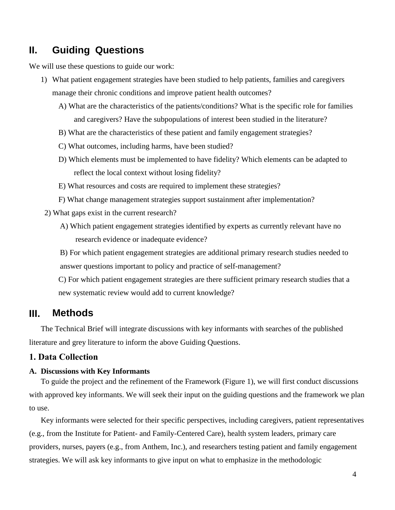### **II. Guiding Questions**

We will use these questions to guide our work:

- 1) What patient engagement strategies have been studied to help patients, families and caregivers manage their chronic conditions and improve patient health outcomes?
	- A) What are the characteristics of the patients/conditions? What is the specific role for families and caregivers? Have the subpopulations of interest been studied in the literature?
	- B) What are the characteristics of these patient and family engagement strategies?
	- C) What outcomes, including harms, have been studied?
	- D) Which elements must be implemented to have fidelity? Which elements can be adapted to reflect the local context without losing fidelity?
	- E) What resources and costs are required to implement these strategies?
	- F) What change management strategies support sustainment after implementation?
- 2) What gaps exist in the current research?
	- A) Which patient engagement strategies identified by experts as currently relevant have no research evidence or inadequate evidence?

B) For which patient engagement strategies are additional primary research studies needed to answer questions important to policy and practice of self-management?

C) For which patient engagement strategies are there sufficient primary research studies that a new systematic review would add to current knowledge?

### **III. Methods**

The Technical Brief will integrate discussions with key informants with searches of the published literature and grey literature to inform the above Guiding Questions.

### **1. Data Collection**

#### **A. Discussions with Key Informants**

To guide the project and the refinement of the Framework (Figure 1), we will first conduct discussions with approved key informants. We will seek their input on the guiding questions and the framework we plan to use.

Key informants were selected for their specific perspectives, including caregivers, patient representatives (e.g., from the Institute for Patient- and Family-Centered Care), health system leaders, primary care providers, nurses, payers (e.g., from Anthem, Inc.), and researchers testing patient and family engagement strategies. We will ask key informants to give input on what to emphasize in the methodologic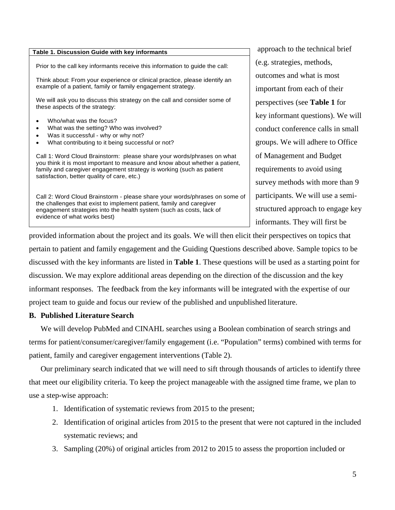| Table 1. Discussion Guide with key informants                                                                                                                                                                                                                                |  |  |
|------------------------------------------------------------------------------------------------------------------------------------------------------------------------------------------------------------------------------------------------------------------------------|--|--|
| Prior to the call key informants receive this information to guide the call:                                                                                                                                                                                                 |  |  |
| Think about: From your experience or clinical practice, please identify an<br>example of a patient, family or family engagement strategy.                                                                                                                                    |  |  |
| We will ask you to discuss this strategy on the call and consider some of<br>these aspects of the strategy:                                                                                                                                                                  |  |  |
| Who/what was the focus?<br>What was the setting? Who was involved?<br>Was it successful - why or why not?<br>What contributing to it being successful or not?<br>$\bullet$                                                                                                   |  |  |
| Call 1: Word Cloud Brainstorm: please share your words/phrases on what<br>you think it is most important to measure and know about whether a patient,<br>family and caregiver engagement strategy is working (such as patient<br>satisfaction, better quality of care, etc.) |  |  |
| Call 2: Word Cloud Brainstorm - please share your words/phrases on some of<br>the challenges that exist to implement patient, family and caregiver<br>engagement strategies into the health system (such as costs, lack of<br>evidence of what works best)                   |  |  |

 approach to the technical brief (e.g. strategies, methods, outcomes and what is most important from each of their perspectives (see **Table 1** for key informant questions). We will conduct conference calls in small groups. We will adhere to Office of Management and Budget requirements to avoid using survey methods with more than 9 participants. We will use a semistructured approach to engage key informants. They will first be

p rovided information about the project and its goals. We will then elicit their perspectives on topics that pertain to patient and family engagement and the Guiding Questions described above. Sample topics to be discussed with the key informants are listed in **Table 1**. These questions will be used as a starting point for discussion. We may explore additional areas depending on the direction of the discussion and the key informant responses. The feedback from the key informants will be integrated with the expertise of our project team to guide and focus our review of the published and unpublished literature.

#### **B. Published Literature Search**

We will develop PubMed and CINAHL searches using a Boolean combination of search strings and terms for patient/consumer/caregiver/family engagement (i.e. "Population" terms) combined with terms for patient, family and caregiver engagement interventions (Table 2).

Our preliminary search indicated that we will need to sift through thousands of articles to identify three that meet our eligibility criteria. To keep the project manageable with the assigned time frame, we plan to use a step-wise approach:

- 1. Identification of systematic reviews from 2015 to the present;
- 2. Identification of original articles from 2015 to the present that were not captured in the included systematic reviews; and
- 3. Sampling (20%) of original articles from 2012 to 2015 to assess the proportion included or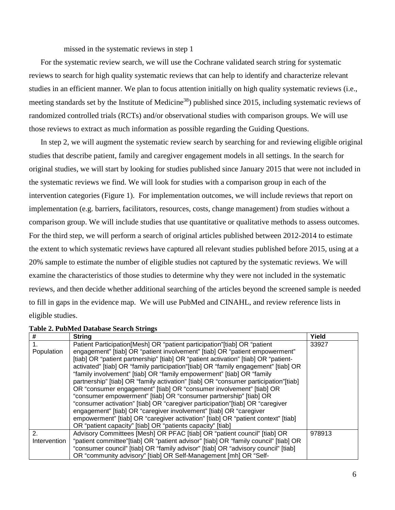missed in the systematic reviews in step 1

For the systematic review search, we will use the Cochrane validated search string for systematic reviews to search for high quality systematic reviews that can help to identify and characterize relevant studies in an efficient manner. We plan to focus attention initially on high quality systematic reviews (i.e., meeting standards set by the Institute of Medicine<sup>38</sup>) published since 2015, including systematic reviews of randomized controlled trials (RCTs) and/or observational studies with comparison groups. We will use those reviews to extract as much information as possible regarding the Guiding Questions.

In step 2, we will augment the systematic review search by searching for and reviewing eligible original studies that describe patient, family and caregiver engagement models in all settings. In the search for original studies, we will start by looking for studies published since January 2015 that were not included in the systematic reviews we find. We will look for studies with a comparison group in each of the intervention categories (Figure 1). For implementation outcomes, we will include reviews that report on implementation (e.g. barriers, facilitators, resources, costs, change management) from studies without a comparison group. We will include studies that use quantitative or qualitative methods to assess outcomes. For the third step, we will perform a search of original articles published between 2012-2014 to estimate the extent to which systematic reviews have captured all relevant studies published before 2015, using at a 20% sample to estimate the number of eligible studies not captured by the systematic reviews. We will examine the characteristics of those studies to determine why they were not included in the systematic reviews, and then decide whether additional searching of the articles beyond the screened sample is needed to fill in gaps in the evidence map. We will use PubMed and CINAHL, and review reference lists in eligible studies.

| #            | <b>String</b>                                                                       | Yield  |  |
|--------------|-------------------------------------------------------------------------------------|--------|--|
| 1.           | Patient Participation[Mesh] OR "patient participation"[tiab] OR "patient            | 33927  |  |
| Population   | engagement" [tiab] OR "patient involvement" [tiab] OR "patient empowerment"         |        |  |
|              | [tiab] OR "patient partnership" [tiab] OR "patient activation" [tiab] OR "patient-  |        |  |
|              | activated" [tiab] OR "family participation"[tiab] OR "family engagement" [tiab] OR  |        |  |
|              | "family involvement" [tiab] OR "family empowerment" [tiab] OR "family               |        |  |
|              | partnership" [tiab] OR "family activation" [tiab] OR "consumer participation"[tiab] |        |  |
|              | OR "consumer engagement" [tiab] OR "consumer involvement" [tiab] OR                 |        |  |
|              | "consumer empowerment" [tiab] OR "consumer partnership" [tiab] OR                   |        |  |
|              | "consumer activation" [tiab] OR "caregiver participation"[tiab] OR "caregiver       |        |  |
|              | engagement" [tiab] OR "caregiver involvement" [tiab] OR "caregiver                  |        |  |
|              | empowerment" [tiab] OR "caregiver activation" [tiab] OR "patient context" [tiab]    |        |  |
|              | OR "patient capacity" [tiab] OR "patients capacity" [tiab]                          |        |  |
| 2.           | Advisory Committees [Mesh] OR PFAC [tiab] OR "patient council" [tiab] OR            | 978913 |  |
| Intervention | "patient committee"[tiab] OR "patient advisor" [tiab] OR "family council" [tiab] OR |        |  |
|              | "consumer council" [tiab] OR "family advisor" [tiab] OR "advisory council" [tiab]   |        |  |
|              | OR "community advisory" [tiab] OR Self-Management [mh] OR "Self-                    |        |  |

**Table 2. PubMed Database Search Strings**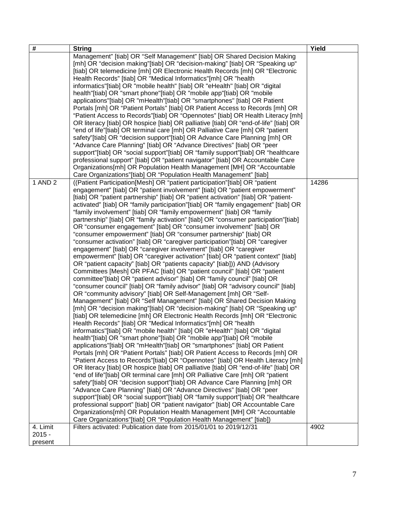| #        | <b>String</b>                                                                                                                                                                                                                                                                                                                                                                                                                                                                                                                                                                                                                                                                                                                                                                                                                                                                                                                                                                                                                                                                                                                                                                                                                                                                                                                                                                                                                                                                                                                                                                                                                                                                                                                                                                                                                                                                                                                                                                                                                                                                                                                                                                                                                                                                                                                                                                                                                                                                                                                                                                                                                                                                                                                                                                                                                                                                                                                                                                                                                                                                                                                                                                                                                                                                                                                                                                                                                                                                                                                                                                                                                                                                                                                                                                                                                                                                                                                                                                                                                                                    | Yield |
|----------|------------------------------------------------------------------------------------------------------------------------------------------------------------------------------------------------------------------------------------------------------------------------------------------------------------------------------------------------------------------------------------------------------------------------------------------------------------------------------------------------------------------------------------------------------------------------------------------------------------------------------------------------------------------------------------------------------------------------------------------------------------------------------------------------------------------------------------------------------------------------------------------------------------------------------------------------------------------------------------------------------------------------------------------------------------------------------------------------------------------------------------------------------------------------------------------------------------------------------------------------------------------------------------------------------------------------------------------------------------------------------------------------------------------------------------------------------------------------------------------------------------------------------------------------------------------------------------------------------------------------------------------------------------------------------------------------------------------------------------------------------------------------------------------------------------------------------------------------------------------------------------------------------------------------------------------------------------------------------------------------------------------------------------------------------------------------------------------------------------------------------------------------------------------------------------------------------------------------------------------------------------------------------------------------------------------------------------------------------------------------------------------------------------------------------------------------------------------------------------------------------------------------------------------------------------------------------------------------------------------------------------------------------------------------------------------------------------------------------------------------------------------------------------------------------------------------------------------------------------------------------------------------------------------------------------------------------------------------------------------------------------------------------------------------------------------------------------------------------------------------------------------------------------------------------------------------------------------------------------------------------------------------------------------------------------------------------------------------------------------------------------------------------------------------------------------------------------------------------------------------------------------------------------------------------------------------------------------------------------------------------------------------------------------------------------------------------------------------------------------------------------------------------------------------------------------------------------------------------------------------------------------------------------------------------------------------------------------------------------------------------------------------------------------------------------------|-------|
| 1 AND 2  | Management" [tiab] OR "Self Management" [tiab] OR Shared Decision Making<br>[mh] OR "decision making"[tiab] OR "decision-making" [tiab] OR "Speaking up"<br>[tiab] OR telemedicine [mh] OR Electronic Health Records [mh] OR "Electronic<br>Health Records" [tiab] OR "Medical Informatics"[mh] OR "health<br>informatics"[tiab] OR "mobile health" [tiab] OR "eHealth" [tiab] OR "digital<br>health"[tiab] OR "smart phone"[tiab] OR "mobile app"[tiab] OR "mobile<br>applications"[tiab] OR "mHealth"[tiab] OR "smartphones" [tiab] OR Patient<br>Portals [mh] OR "Patient Portals" [tiab] OR Patient Access to Records [mh] OR<br>"Patient Access to Records"[tiab] OR "Opennotes" [tiab] OR Health Literacy [mh]<br>OR literacy [tiab] OR hospice [tiab] OR palliative [tiab] OR "end-of-life" [tiab] OR<br>"end of life"[tiab] OR terminal care [mh] OR Palliative Care [mh] OR "patient<br>safety"[tiab] OR "decision support"[tiab] OR Advance Care Planning [mh] OR<br>"Advance Care Planning" [tiab] OR "Advance Directives" [tiab] OR "peer<br>support"[tiab] OR "social support"[tiab] OR "family support"[tiab] OR "healthcare<br>professional support" [tiab] OR "patient navigator" [tiab] OR Accountable Care<br>Organizations[mh] OR Population Health Management [MH] OR "Accountable<br>Care Organizations"[tiab] OR "Population Health Management" [tiab]<br>((Patient Participation[Mesh] OR "patient participation"[tiab] OR "patient")<br>engagement" [tiab] OR "patient involvement" [tiab] OR "patient empowerment"<br>[tiab] OR "patient partnership" [tiab] OR "patient activation" [tiab] OR "patient-<br>activated" [tiab] OR "family participation"[tiab] OR "family engagement" [tiab] OR<br>"family involvement" [tiab] OR "family empowerment" [tiab] OR "family<br>partnership" [tiab] OR "family activation" [tiab] OR "consumer participation"[tiab]<br>OR "consumer engagement" [tiab] OR "consumer involvement" [tiab] OR<br>"consumer empowerment" [tiab] OR "consumer partnership" [tiab] OR<br>"consumer activation" [tiab] OR "caregiver participation"[tiab] OR "caregiver<br>engagement" [tiab] OR "caregiver involvement" [tiab] OR "caregiver<br>empowerment" [tiab] OR "caregiver activation" [tiab] OR "patient context" [tiab]<br>OR "patient capacity" [tiab] OR "patients capacity" [tiab])) AND (Advisory<br>Committees [Mesh] OR PFAC [tiab] OR "patient council" [tiab] OR "patient<br>committee"[tiab] OR "patient advisor" [tiab] OR "family council" [tiab] OR<br>"consumer council" [tiab] OR "family advisor" [tiab] OR "advisory council" [tiab]<br>OR "community advisory" [tiab] OR Self-Management [mh] OR "Self-<br>Management" [tiab] OR "Self Management" [tiab] OR Shared Decision Making<br>[mh] OR "decision making"[tiab] OR "decision-making" [tiab] OR "Speaking up"<br>[tiab] OR telemedicine [mh] OR Electronic Health Records [mh] OR "Electronic<br>Health Records" [tiab] OR "Medical Informatics"[mh] OR "health<br>informatics"[tiab] OR "mobile health" [tiab] OR "eHealth" [tiab] OR "digital<br>health"[tiab] OR "smart phone"[tiab] OR "mobile app"[tiab] OR "mobile<br>applications"[tiab] OR "mHealth"[tiab] OR "smartphones" [tiab] OR Patient<br>Portals [mh] OR "Patient Portals" [tiab] OR Patient Access to Records [mh] OR<br>"Patient Access to Records"[tiab] OR "Opennotes" [tiab] OR Health Literacy [mh]<br>OR literacy [tiab] OR hospice [tiab] OR palliative [tiab] OR "end-of-life" [tiab] OR<br>"end of life"[tiab] OR terminal care [mh] OR Palliative Care [mh] OR "patient<br>safety"[tiab] OR "decision support"[tiab] OR Advance Care Planning [mh] OR<br>"Advance Care Planning" [tiab] OR "Advance Directives" [tiab] OR "peer<br>support"[tiab] OR "social support"[tiab] OR "family support"[tiab] OR "healthcare<br>professional support" [tiab] OR "patient navigator" [tiab] OR Accountable Care<br>Organizations[mh] OR Population Health Management [MH] OR "Accountable<br>Care Organizations"[tiab] OR "Population Health Management" [tiab]) | 14286 |
| 4. Limit | Filters activated: Publication date from 2015/01/01 to 2019/12/31                                                                                                                                                                                                                                                                                                                                                                                                                                                                                                                                                                                                                                                                                                                                                                                                                                                                                                                                                                                                                                                                                                                                                                                                                                                                                                                                                                                                                                                                                                                                                                                                                                                                                                                                                                                                                                                                                                                                                                                                                                                                                                                                                                                                                                                                                                                                                                                                                                                                                                                                                                                                                                                                                                                                                                                                                                                                                                                                                                                                                                                                                                                                                                                                                                                                                                                                                                                                                                                                                                                                                                                                                                                                                                                                                                                                                                                                                                                                                                                                | 4902  |
| $2015 -$ |                                                                                                                                                                                                                                                                                                                                                                                                                                                                                                                                                                                                                                                                                                                                                                                                                                                                                                                                                                                                                                                                                                                                                                                                                                                                                                                                                                                                                                                                                                                                                                                                                                                                                                                                                                                                                                                                                                                                                                                                                                                                                                                                                                                                                                                                                                                                                                                                                                                                                                                                                                                                                                                                                                                                                                                                                                                                                                                                                                                                                                                                                                                                                                                                                                                                                                                                                                                                                                                                                                                                                                                                                                                                                                                                                                                                                                                                                                                                                                                                                                                                  |       |
| present  |                                                                                                                                                                                                                                                                                                                                                                                                                                                                                                                                                                                                                                                                                                                                                                                                                                                                                                                                                                                                                                                                                                                                                                                                                                                                                                                                                                                                                                                                                                                                                                                                                                                                                                                                                                                                                                                                                                                                                                                                                                                                                                                                                                                                                                                                                                                                                                                                                                                                                                                                                                                                                                                                                                                                                                                                                                                                                                                                                                                                                                                                                                                                                                                                                                                                                                                                                                                                                                                                                                                                                                                                                                                                                                                                                                                                                                                                                                                                                                                                                                                                  |       |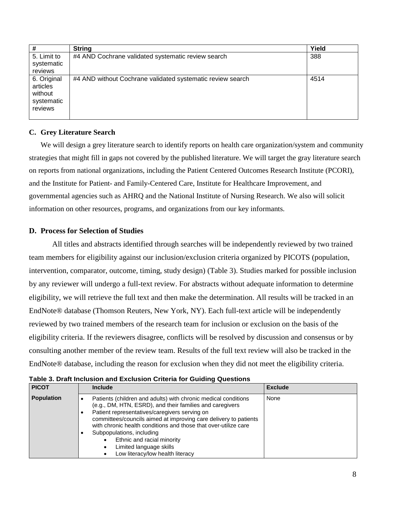| #           | <b>String</b>                                              | Yield |
|-------------|------------------------------------------------------------|-------|
| 5. Limit to | #4 AND Cochrane validated systematic review search         | 388   |
| systematic  |                                                            |       |
| reviews     |                                                            |       |
| 6. Original | #4 AND without Cochrane validated systematic review search | 4514  |
| articles    |                                                            |       |
| without     |                                                            |       |
| systematic  |                                                            |       |
| reviews     |                                                            |       |
|             |                                                            |       |

#### **C. Grey Literature Search**

We will design a grey literature search to identify reports on health care organization/system and community strategies that might fill in gaps not covered by the published literature. We will target the gray literature search on reports from national organizations, including the Patient Centered Outcomes Research Institute (PCORI), and the Institute for Patient- and Family-Centered Care, Institute for Healthcare Improvement, and governmental agencies such as AHRQ and the National Institute of Nursing Research. We also will solicit information on other resources, programs, and organizations from our key informants.

#### **D. Process for Selection of Studies**

All titles and abstracts identified through searches will be independently reviewed by two trained team members for eligibility against our inclusion/exclusion criteria organized by PICOTS (population, intervention, comparator, outcome, timing, study design) (Table 3). Studies marked for possible inclusion by any reviewer will undergo a full-text review. For abstracts without adequate information to determine eligibility, we will retrieve the full text and then make the determination. All results will be tracked in an EndNote® database (Thomson Reuters, New York, NY). Each full-text article will be independently reviewed by two trained members of the research team for inclusion or exclusion on the basis of the eligibility criteria. If the reviewers disagree, conflicts will be resolved by discussion and consensus or by consulting another member of the review team. Results of the full text review will also be tracked in the EndNote® database, including the reason for exclusion when they did not meet the eligibility criteria.

| rapic J. Drait inclusion and Exclusion Chiena for Oulding Questions |                                                                                                                                                                                                                                                                                                                                                                                                                                                           |                |
|---------------------------------------------------------------------|-----------------------------------------------------------------------------------------------------------------------------------------------------------------------------------------------------------------------------------------------------------------------------------------------------------------------------------------------------------------------------------------------------------------------------------------------------------|----------------|
| <b>PICOT</b>                                                        | <b>Include</b>                                                                                                                                                                                                                                                                                                                                                                                                                                            | <b>Exclude</b> |
| <b>Population</b>                                                   | Patients (children and adults) with chronic medical conditions<br>(e.g., DM, HTN, ESRD), and their families and caregivers<br>Patient representatives/caregivers serving on<br>committees/councils aimed at improving care delivery to patients<br>with chronic health conditions and those that over-utilize care<br>Subpopulations, including<br>Ethnic and racial minority<br>Limited language skills<br>$\bullet$<br>Low literacy/low health literacy | None           |

**Table 3. Draft Inclusion and Exclusion Criteria for Guiding Questions**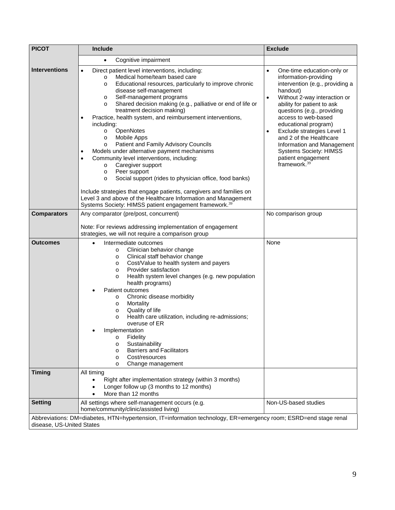| <b>PICOT</b>                     | Include                                                                                                                                                                                                                                                                                                                                                                                                                                                                                                                                                                                                                                                                                                                                                                                                                                                                                                                                                                                       | <b>Exclude</b>                                                                                                                                                                                                                                                                                                                                                                                                                                        |
|----------------------------------|-----------------------------------------------------------------------------------------------------------------------------------------------------------------------------------------------------------------------------------------------------------------------------------------------------------------------------------------------------------------------------------------------------------------------------------------------------------------------------------------------------------------------------------------------------------------------------------------------------------------------------------------------------------------------------------------------------------------------------------------------------------------------------------------------------------------------------------------------------------------------------------------------------------------------------------------------------------------------------------------------|-------------------------------------------------------------------------------------------------------------------------------------------------------------------------------------------------------------------------------------------------------------------------------------------------------------------------------------------------------------------------------------------------------------------------------------------------------|
|                                  | Cognitive impairment<br>$\bullet$                                                                                                                                                                                                                                                                                                                                                                                                                                                                                                                                                                                                                                                                                                                                                                                                                                                                                                                                                             |                                                                                                                                                                                                                                                                                                                                                                                                                                                       |
| <b>Interventions</b>             | Direct patient level interventions, including:<br>$\bullet$<br>Medical home/team based care<br>$\circ$<br>Educational resources, particularly to improve chronic<br>$\circ$<br>disease self-management<br>Self-management programs<br>O<br>Shared decision making (e.g., palliative or end of life or<br>$\circ$<br>treatment decision making)<br>Practice, health system, and reimbursement interventions,<br>including:<br>OpenNotes<br>$\circ$<br><b>Mobile Apps</b><br>$\circ$<br>Patient and Family Advisory Councils<br>$\circ$<br>Models under alternative payment mechanisms<br>Community level interventions, including:<br>$\bullet$<br>Caregiver support<br>$\circ$<br>Peer support<br>$\circ$<br>Social support (rides to physician office, food banks)<br>$\circ$<br>Include strategies that engage patients, caregivers and families on<br>Level 3 and above of the Healthcare Information and Management<br>Systems Society: HIMSS patient engagement framework. <sup>39</sup> | One-time education-only or<br>$\bullet$<br>information-providing<br>intervention (e.g., providing a<br>handout)<br>Without 2-way interaction or<br>$\bullet$<br>ability for patient to ask<br>questions (e.g., providing<br>access to web-based<br>educational program)<br>Exclude strategies Level 1<br>$\bullet$<br>and 2 of the Healthcare<br>Information and Management<br><b>Systems Society: HIMSS</b><br>patient engagement<br>framework. $39$ |
| <b>Comparators</b>               | Any comparator (pre/post, concurrent)                                                                                                                                                                                                                                                                                                                                                                                                                                                                                                                                                                                                                                                                                                                                                                                                                                                                                                                                                         | No comparison group                                                                                                                                                                                                                                                                                                                                                                                                                                   |
|                                  | Note: For reviews addressing implementation of engagement<br>strategies, we will not require a comparison group                                                                                                                                                                                                                                                                                                                                                                                                                                                                                                                                                                                                                                                                                                                                                                                                                                                                               |                                                                                                                                                                                                                                                                                                                                                                                                                                                       |
| <b>Outcomes</b><br><b>Timing</b> | Intermediate outcomes<br>Clinician behavior change<br>$\circ$<br>Clinical staff behavior change<br>$\circ$<br>Cost/Value to health system and payers<br>O<br>Provider satisfaction<br>$\circ$<br>Health system level changes (e.g. new population<br>$\circ$<br>health programs)<br>Patient outcomes<br>Chronic disease morbidity<br>$\circ$<br>Mortality<br>$\circ$<br>Quality of life<br>$\circ$<br>Health care utilization, including re-admissions;<br>$\circ$<br>overuse of ER<br>Implementation<br>Fidelity<br>O<br>Sustainability<br>O<br><b>Barriers and Facilitators</b><br>$\circ$<br>Cost/resources<br>$\circ$<br>Change management<br>O<br>All timing<br>Right after implementation strategy (within 3 months)                                                                                                                                                                                                                                                                    | None                                                                                                                                                                                                                                                                                                                                                                                                                                                  |
|                                  | Longer follow up (3 months to 12 months)<br>More than 12 months                                                                                                                                                                                                                                                                                                                                                                                                                                                                                                                                                                                                                                                                                                                                                                                                                                                                                                                               |                                                                                                                                                                                                                                                                                                                                                                                                                                                       |
| <b>Setting</b>                   | All settings where self-management occurs (e.g.<br>home/community/clinic/assisted living)                                                                                                                                                                                                                                                                                                                                                                                                                                                                                                                                                                                                                                                                                                                                                                                                                                                                                                     | Non-US-based studies                                                                                                                                                                                                                                                                                                                                                                                                                                  |
| disease, US-United States        | Abbreviations: DM=diabetes, HTN=hypertension, IT=information technology, ER=emergency room; ESRD=end stage renal                                                                                                                                                                                                                                                                                                                                                                                                                                                                                                                                                                                                                                                                                                                                                                                                                                                                              |                                                                                                                                                                                                                                                                                                                                                                                                                                                       |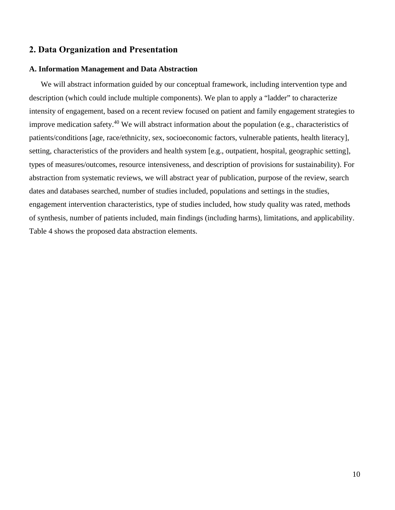#### **2. Data Organization and Presentation**

#### **A. Information Management and Data Abstraction**

We will abstract information guided by our conceptual framework, including intervention type and description (which could include multiple components). We plan to apply a "ladder" to characterize intensity of engagement, based on a recent review focused on patient and family engagement strategies to improve medication safety.<sup>40</sup> We will abstract information about the population (e.g., characteristics of patients/conditions [age, race/ethnicity, sex, socioeconomic factors, vulnerable patients, health literacy], setting, characteristics of the providers and health system [e.g., outpatient, hospital, geographic setting], types of measures/outcomes, resource intensiveness, and description of provisions for sustainability). For abstraction from systematic reviews, we will abstract year of publication, purpose of the review, search dates and databases searched, number of studies included, populations and settings in the studies, engagement intervention characteristics, type of studies included, how study quality was rated, methods of synthesis, number of patients included, main findings (including harms), limitations, and applicability. Table 4 shows the proposed data abstraction elements.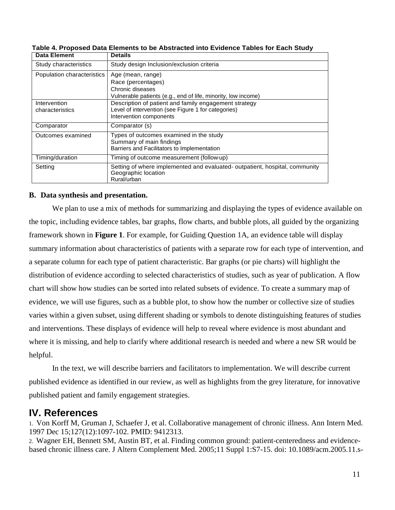| <b>Data Element</b>        | <b>Details</b>                                                                                                    |
|----------------------------|-------------------------------------------------------------------------------------------------------------------|
| Study characteristics      | Study design Inclusion/exclusion criteria                                                                         |
| Population characteristics | Age (mean, range)                                                                                                 |
|                            | Race (percentages)                                                                                                |
|                            | Chronic diseases                                                                                                  |
|                            | Vulnerable patients (e.g., end of life, minority, low income)                                                     |
| Intervention               | Description of patient and family engagement strategy                                                             |
| characteristics            | Level of intervention (see Figure 1 for categories)                                                               |
|                            | Intervention components                                                                                           |
| Comparator                 | Comparator (s)                                                                                                    |
| Outcomes examined          | Types of outcomes examined in the study                                                                           |
|                            | Summary of main findings                                                                                          |
|                            | Barriers and Facilitators to Implementation                                                                       |
| Timing/duration            | Timing of outcome measurement (follow-up)                                                                         |
| Setting                    | Setting of where implemented and evaluated- outpatient, hospital, community<br>Geographic location<br>Rural/urban |
|                            |                                                                                                                   |

**Table 4. Proposed Data Elements to be Abstracted into Evidence Tables for Each Study**

#### **B. Data synthesis and presentation.**

We plan to use a mix of methods for summarizing and displaying the types of evidence available on the topic, including evidence tables, bar graphs, flow charts, and bubble plots, all guided by the organizing framework shown in **Figure 1**. For example, for Guiding Question 1A, an evidence table will display summary information about characteristics of patients with a separate row for each type of intervention, and a separate column for each type of patient characteristic. Bar graphs (or pie charts) will highlight the distribution of evidence according to selected characteristics of studies, such as year of publication. A flow chart will show how studies can be sorted into related subsets of evidence. To create a summary map of evidence, we will use figures, such as a bubble plot, to show how the number or collective size of studies varies within a given subset, using different shading or symbols to denote distinguishing features of studies and interventions. These displays of evidence will help to reveal where evidence is most abundant and where it is missing, and help to clarify where additional research is needed and where a new SR would be helpful.

In the text, we will describe barriers and facilitators to implementation. We will describe current published evidence as identified in our review, as well as highlights from the grey literature, for innovative published patient and family engagement strategies.

### **IV. References**

1. Von Korff M, Gruman J, Schaefer J, et al. Collaborative management of chronic illness. Ann Intern Med. 1997 Dec 15;127(12):1097-102. PMID: 9412313.

2. Wagner EH, Bennett SM, Austin BT, et al. Finding common ground: patient-centeredness and evidencebased chronic illness care. J Altern Complement Med. 2005;11 Suppl 1:S7-15. doi: 10.1089/acm.2005.11.s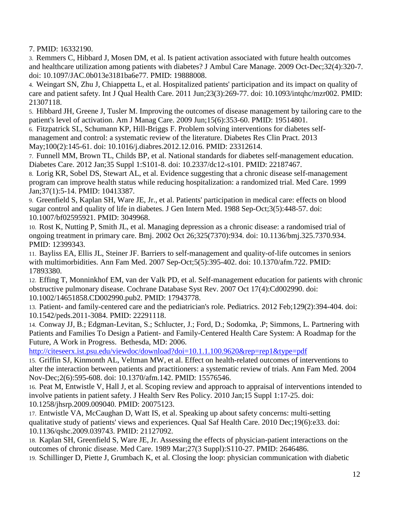7. PMID: 16332190.

3. Remmers C, Hibbard J, Mosen DM, et al. Is patient activation associated with future health outcomes and healthcare utilization among patients with diabetes? J Ambul Care Manage. 2009 Oct-Dec;32(4):320-7. doi: 10.1097/JAC.0b013e3181ba6e77. PMID: 19888008.

4. Weingart SN, Zhu J, Chiappetta L, et al. Hospitalized patients' participation and its impact on quality of care and patient safety. Int J Qual Health Care. 2011 Jun;23(3):269-77. doi: 10.1093/intqhc/mzr002. PMID: 21307118.

5. Hibbard JH, Greene J, Tusler M. Improving the outcomes of disease management by tailoring care to the patient's level of activation. Am J Manag Care. 2009 Jun;15(6):353-60. PMID: 19514801.

6. Fitzpatrick SL, Schumann KP, Hill-Briggs F. Problem solving interventions for diabetes self-

management and control: a systematic review of the literature. Diabetes Res Clin Pract. 2013 May;100(2):145-61. doi: 10.1016/j.diabres.2012.12.016. PMID: 23312614.

7. Funnell MM, Brown TL, Childs BP, et al. National standards for diabetes self-management education. Diabetes Care. 2012 Jan;35 Suppl 1:S101-8. doi: 10.2337/dc12-s101. PMID: 22187467.

8. Lorig KR, Sobel DS, Stewart AL, et al. Evidence suggesting that a chronic disease self-management program can improve health status while reducing hospitalization: a randomized trial. Med Care. 1999 Jan;37(1):5-14. PMID: 10413387.

9. Greenfield S, Kaplan SH, Ware JE, Jr., et al. Patients' participation in medical care: effects on blood sugar control and quality of life in diabetes. J Gen Intern Med. 1988 Sep-Oct;3(5):448-57. doi: 10.1007/bf02595921. PMID: 3049968.

10. Rost K, Nutting P, Smith JL, et al. Managing depression as a chronic disease: a randomised trial of ongoing treatment in primary care. Bmj. 2002 Oct 26;325(7370):934. doi: 10.1136/bmj.325.7370.934. PMID: 12399343.

11. Bayliss EA, Ellis JL, Steiner JF. Barriers to self-management and quality-of-life outcomes in seniors with multimorbidities. Ann Fam Med. 2007 Sep-Oct;5(5):395-402. doi: 10.1370/afm.722. PMID: 17893380.

12. Effing T, Monninkhof EM, van der Valk PD, et al. Self-management education for patients with chronic obstructive pulmonary disease. Cochrane Database Syst Rev. 2007 Oct 17(4):Cd002990. doi: 10.1002/14651858.CD002990.pub2. PMID: 17943778.

13. Patient- and family-centered care and the pediatrician's role. Pediatrics. 2012 Feb;129(2):394-404. doi: 10.1542/peds.2011-3084. PMID: 22291118.

14. Conway JJ, B.; Edgman-Levitan, S.; Schlucter, J.; Ford, D.; Sodomka, .P; Simmons, L. Partnering with Patients and Families To Design a Patient- and Family-Centered Health Care System: A Roadmap for the Future, A Work in Progress. Bethesda, MD: 2006.

<http://citeseerx.ist.psu.edu/viewdoc/download?doi=10.1.1.100.9620&rep=rep1&type=pdf>

15. Griffin SJ, Kinmonth AL, Veltman MW, et al. Effect on health-related outcomes of interventions to alter the interaction between patients and practitioners: a systematic review of trials. Ann Fam Med. 2004 Nov-Dec;2(6):595-608. doi: 10.1370/afm.142. PMID: 15576546.

16. Peat M, Entwistle V, Hall J, et al. Scoping review and approach to appraisal of interventions intended to involve patients in patient safety. J Health Serv Res Policy. 2010 Jan;15 Suppl 1:17-25. doi: 10.1258/jhsrp.2009.009040. PMID: 20075123.

17. Entwistle VA, McCaughan D, Watt IS, et al. Speaking up about safety concerns: multi-setting qualitative study of patients' views and experiences. Qual Saf Health Care. 2010 Dec;19(6):e33. doi: 10.1136/qshc.2009.039743. PMID: 21127092.

18. Kaplan SH, Greenfield S, Ware JE, Jr. Assessing the effects of physician-patient interactions on the outcomes of chronic disease. Med Care. 1989 Mar;27(3 Suppl):S110-27. PMID: 2646486.

19. Schillinger D, Piette J, Grumbach K, et al. Closing the loop: physician communication with diabetic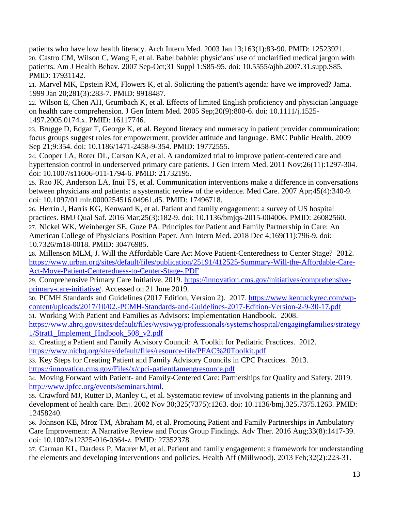patients who have low health literacy. Arch Intern Med. 2003 Jan 13;163(1):83-90. PMID: 12523921. 20. Castro CM, Wilson C, Wang F, et al. Babel babble: physicians' use of unclarified medical jargon with patients. Am J Health Behav. 2007 Sep-Oct;31 Suppl 1:S85-95. doi: 10.5555/ajhb.2007.31.supp.S85. PMID: 17931142.

21. Marvel MK, Epstein RM, Flowers K, et al. Soliciting the patient's agenda: have we improved? Jama. 1999 Jan 20;281(3):283-7. PMID: 9918487.

22. Wilson E, Chen AH, Grumbach K, et al. Effects of limited English proficiency and physician language on health care comprehension. J Gen Intern Med. 2005 Sep;20(9):800-6. doi: 10.1111/j.1525- 1497.2005.0174.x. PMID: 16117746.

23. Brugge D, Edgar T, George K, et al. Beyond literacy and numeracy in patient provider communication: focus groups suggest roles for empowerment, provider attitude and language. BMC Public Health. 2009 Sep 21;9:354. doi: 10.1186/1471-2458-9-354. PMID: 19772555.

24. Cooper LA, Roter DL, Carson KA, et al. A randomized trial to improve patient-centered care and hypertension control in underserved primary care patients. J Gen Intern Med. 2011 Nov;26(11):1297-304. doi: 10.1007/s11606-011-1794-6. PMID: 21732195.

25. Rao JK, Anderson LA, Inui TS, et al. Communication interventions make a difference in conversations between physicians and patients: a systematic review of the evidence. Med Care. 2007 Apr;45(4):340-9. doi: 10.1097/01.mlr.0000254516.04961.d5. PMID: 17496718.

26. Herrin J, Harris KG, Kenward K, et al. Patient and family engagement: a survey of US hospital practices. BMJ Qual Saf. 2016 Mar;25(3):182-9. doi: 10.1136/bmjqs-2015-004006. PMID: 26082560. 27. Nickel WK, Weinberger SE, Guze PA. Principles for Patient and Family Partnership in Care: An American College of Physicians Position Paper. Ann Intern Med. 2018 Dec 4;169(11):796-9. doi: 10.7326/m18-0018. PMID: 30476985.

28. Millenson MLM, J. Will the Affordable Care Act Move Patient-Centeredness to Center Stage? 2012. [https://www.urban.org/sites/default/files/publication/25191/412525-Summary-Will-the-Affordable-Care-](https://www.urban.org/sites/default/files/publication/25191/412525-Summary-Will-the-Affordable-Care-Act-Move-Patient-Centeredness-to-Center-Stage-.PDF)[Act-Move-Patient-Centeredness-to-Center-Stage-.PDF](https://www.urban.org/sites/default/files/publication/25191/412525-Summary-Will-the-Affordable-Care-Act-Move-Patient-Centeredness-to-Center-Stage-.PDF)

29. Comprehensive Primary Care Initiative. 2019. [https://innovation.cms.gov/initiatives/comprehensive](https://innovation.cms.gov/initiatives/comprehensive-primary-care-initiative/)[primary-care-initiative/.](https://innovation.cms.gov/initiatives/comprehensive-primary-care-initiative/) Accessed on 21 June 2019.

30. PCMH Standards and Guidelines (2017 Edition, Version 2). 2017. [https://www.kentuckyrec.com/wp](https://www.kentuckyrec.com/wp-content/uploads/2017/10/02.-PCMH-Standards-and-Guidelines-2017-Edition-Version-2-9-30-17.pdf)[content/uploads/2017/10/02.-PCMH-Standards-and-Guidelines-2017-Edition-Version-2-9-30-17.pdf](https://www.kentuckyrec.com/wp-content/uploads/2017/10/02.-PCMH-Standards-and-Guidelines-2017-Edition-Version-2-9-30-17.pdf)

31. Working With Patient and Families as Advisors: Implementation Handbook. 2008.

[https://www.ahrq.gov/sites/default/files/wysiwyg/professionals/systems/hospital/engagingfamilies/strategy](https://www.ahrq.gov/sites/default/files/wysiwyg/professionals/systems/hospital/engagingfamilies/strategy1/Strat1_Implement_Hndbook_508_v2.pdf) [1/Strat1\\_Implement\\_Hndbook\\_508\\_v2.pdf](https://www.ahrq.gov/sites/default/files/wysiwyg/professionals/systems/hospital/engagingfamilies/strategy1/Strat1_Implement_Hndbook_508_v2.pdf)

32. Creating a Patient and Family Advisory Council: A Toolkit for Pediatric Practices. 2012. <https://www.nichq.org/sites/default/files/resource-file/PFAC%20Toolkit.pdf>

33. Key Steps for Creating Patient and Family Advisory Councils in CPC Practices. 2013. <https://innovation.cms.gov/Files/x/cpci-patientfamengresource.pdf>

34. Moving Forward with Patient- and Family-Centered Care: Partnerships for Quality and Safety. 2019. [http://www.ipfcc.org/events/seminars.html.](http://www.ipfcc.org/events/seminars.html)

35. Crawford MJ, Rutter D, Manley C, et al. Systematic review of involving patients in the planning and development of health care. Bmj. 2002 Nov 30;325(7375):1263. doi: 10.1136/bmj.325.7375.1263. PMID: 12458240.

36. Johnson KE, Mroz TM, Abraham M, et al. Promoting Patient and Family Partnerships in Ambulatory Care Improvement: A Narrative Review and Focus Group Findings. Adv Ther. 2016 Aug;33(8):1417-39. doi: 10.1007/s12325-016-0364-z. PMID: 27352378.

37. Carman KL, Dardess P, Maurer M, et al. Patient and family engagement: a framework for understanding the elements and developing interventions and policies. Health Aff (Millwood). 2013 Feb;32(2):223-31.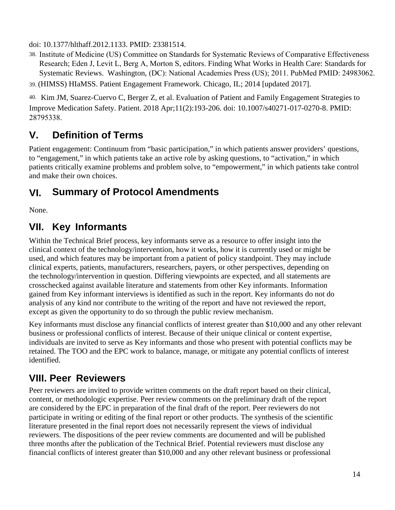doi: 10.1377/hlthaff.2012.1133. PMID: 23381514.

38. Institute of Medicine (US) Committee on Standards for Systematic Reviews of Comparative Effectiveness Research; Eden J, Levit L, Berg A, Morton S, editors. Finding What Works in Health Care: Standards for Systematic Reviews. Washington, (DC): National Academies Press (US); 2011. PubMed PMID: 24983062.

39. (HIMSS) HIaMSS. Patient Engagement Framework. Chicago, IL; 2014 [updated 2017].

40. Kim JM, Suarez-Cuervo C, Berger Z, et al. Evaluation of Patient and Family Engagement Strategies to Improve Medication Safety. Patient. 2018 Apr;11(2):193-206. doi: 10.1007/s40271-017-0270-8. PMID: 28795338.

# **V. Definition of Terms**

Patient engagement: Continuum from "basic participation," in which patients answer providers' questions, to "engagement," in which patients take an active role by asking questions, to "activation," in which patients critically examine problems and problem solve, to "empowerment," in which patients take control and make their own choices.

### **VI. Summary of Protocol Amendments**

None.

# **VII. Key Informants**

Within the Technical Brief process, key informants serve as a resource to offer insight into the clinical context of the technology/intervention, how it works, how it is currently used or might be used, and which features may be important from a patient of policy standpoint. They may include clinical experts, patients, manufacturers, researchers, payers, or other perspectives, depending on the technology/intervention in question. Differing viewpoints are expected, and all statements are crosschecked against available literature and statements from other Key informants. Information gained from Key informant interviews is identified as such in the report. Key informants do not do analysis of any kind nor contribute to the writing of the report and have not reviewed the report, except as given the opportunity to do so through the public review mechanism.

Key informants must disclose any financial conflicts of interest greater than \$10,000 and any other relevant business or professional conflicts of interest. Because of their unique clinical or content expertise, individuals are invited to serve as Key informants and those who present with potential conflicts may be retained. The TOO and the EPC work to balance, manage, or mitigate any potential conflicts of interest identified.

# **VIII. Peer Reviewers**

Peer reviewers are invited to provide written comments on the draft report based on their clinical, content, or methodologic expertise. Peer review comments on the preliminary draft of the report are considered by the EPC in preparation of the final draft of the report. Peer reviewers do not participate in writing or editing of the final report or other products. The synthesis of the scientific literature presented in the final report does not necessarily represent the views of individual reviewers. The dispositions of the peer review comments are documented and will be published three months after the publication of the Technical Brief. Potential reviewers must disclose any financial conflicts of interest greater than \$10,000 and any other relevant business or professional